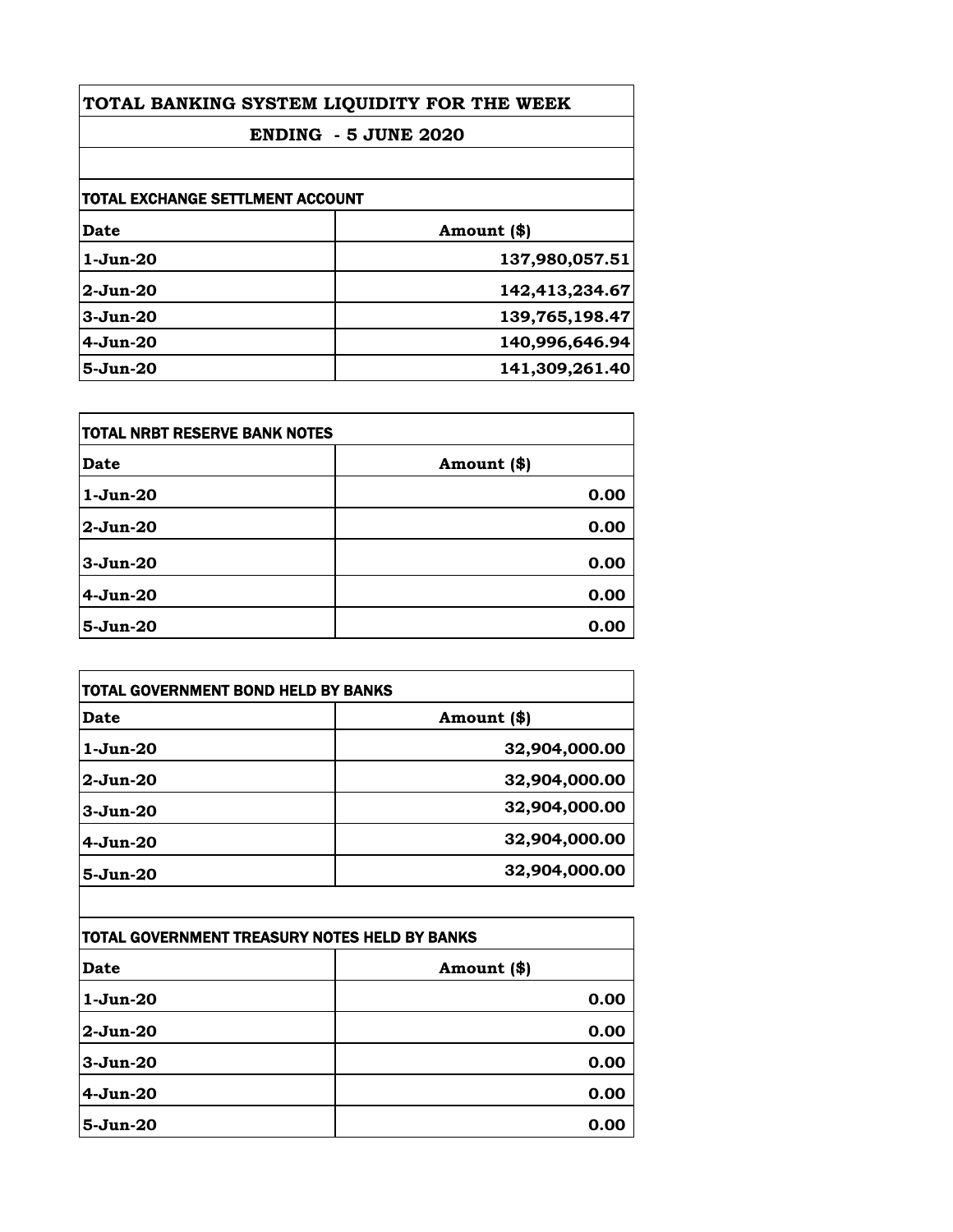| TOTAL BANKING SYSTEM LIQUIDITY FOR THE WEEK<br><b>ENDING - 5 JUNE 2020</b> |                |                                         |             |
|----------------------------------------------------------------------------|----------------|-----------------------------------------|-------------|
|                                                                            |                | <b>TOTAL EXCHANGE SETTLMENT ACCOUNT</b> |             |
|                                                                            |                | Date                                    | Amount (\$) |
| $1-J$ un- $20$                                                             | 137,980,057.51 |                                         |             |
| $2-Jun-20$                                                                 | 142,413,234.67 |                                         |             |
| $3-Jun-20$                                                                 | 139,765,198.47 |                                         |             |
| $4-Jun-20$                                                                 | 140,996,646.94 |                                         |             |
| $5-Jun-20$                                                                 | 141,309,261.40 |                                         |             |

| itotal NRBT RESERVE BANK NOTES |             |
|--------------------------------|-------------|
| Date                           | Amount (\$) |
| $1-Jun-20$                     | 0.00        |
| $2-Jun-20$                     | 0.00        |
| $3-Jun-20$                     | 0.00        |
| $4-Jun-20$                     | 0.00        |
| $5-Jun-20$                     | 0.00        |

| <b>TOTAL GOVERNMENT BOND HELD BY BANKS</b> |               |
|--------------------------------------------|---------------|
| Date                                       | Amount (\$)   |
| $1-J$ un- $20$                             | 32,904,000.00 |
| $2-Jun-20$                                 | 32,904,000.00 |
| $3-Jun-20$                                 | 32,904,000.00 |
| $4-Jun-20$                                 | 32,904,000.00 |
| $5 - Jun-20$                               | 32,904,000.00 |

| TOTAL GOVERNMENT TREASURY NOTES HELD BY BANKS |             |
|-----------------------------------------------|-------------|
| <b>Date</b>                                   | Amount (\$) |
| $1-Jun-20$                                    | 0.00        |
| 2-Jun-20                                      | 0.00        |
| $3-Jun-20$                                    | 0.00        |
| $4-Jun-20$                                    | 0.00        |
| $5-Jun-20$                                    | 0.00        |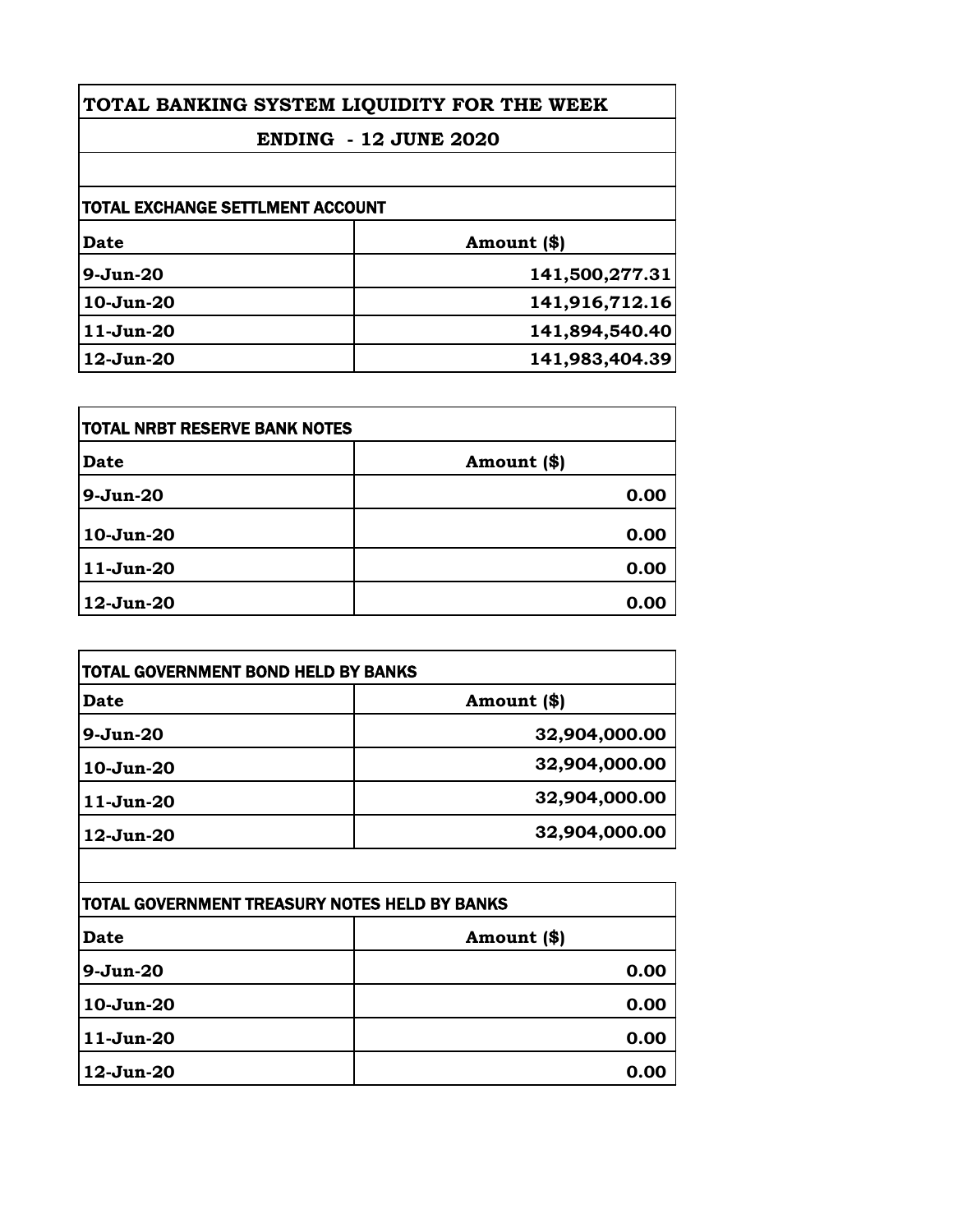| TOTAL BANKING SYSTEM LIQUIDITY FOR THE WEEK<br><b>ENDING - 12 JUNE 2020</b> |  |
|-----------------------------------------------------------------------------|--|
|                                                                             |  |
| TOTAL EXCHANGE SETTLMENT ACCOUNT                                            |  |
| Amount (\$)                                                                 |  |
| 141,500,277.31                                                              |  |
| 141,916,712.16                                                              |  |
| 141,894,540.40                                                              |  |
| 141,983,404.39                                                              |  |
|                                                                             |  |

| TOTAL NRBT RESERVE BANK NOTES |             |
|-------------------------------|-------------|
| <b>Date</b>                   | Amount (\$) |
| $9-Jun-20$                    | 0.00        |
| 10-Jun-20                     | 0.00        |
| $11-Jun-20$                   | 0.00        |
| 12-Jun-20                     | 0.00        |

| TOTAL GOVERNMENT BOND HELD BY BANKS |               |
|-------------------------------------|---------------|
| Date                                | Amount (\$)   |
| $9-Jun-20$                          | 32,904,000.00 |
| $10-Jun-20$                         | 32,904,000.00 |
| $11-Jun-20$                         | 32,904,000.00 |
| 12-Jun-20                           | 32,904,000.00 |

| TOTAL GOVERNMENT TREASURY NOTES HELD BY BANKS |             |
|-----------------------------------------------|-------------|
| <b>Date</b>                                   | Amount (\$) |
| $9-Jun-20$                                    | 0.00        |
| 10-Jun-20                                     | 0.00        |
| $11-Jun-20$                                   | 0.00        |
| $12$ -Jun-20                                  | 0.00        |